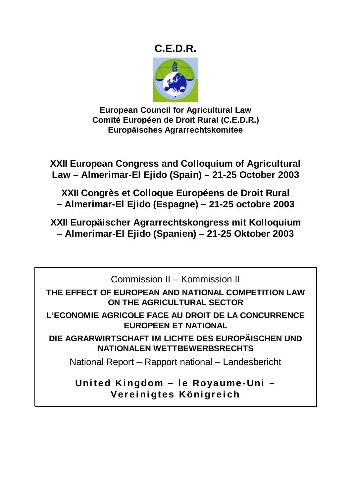# **C.E.D.R.**



**European Council for Agricultural Law Comité Européen de Droit Rural (C.E.D.R.) Europäisches Agrarrechtskomitee** 

**XXII European Congress and Colloquium of Agricultural Law – Almerimar-El Ejido (Spain) – 21-25 October 2003** 

**XXII Congrès et Colloque Européens de Droit Rural – Almerimar-El Ejido (Espagne) – 21-25 octobre 2003** 

**XXII Europäischer Agrarrechtskongress mit Kolloquium – Almerimar-El Ejido (Spanien) – 21-25 Oktober 2003** 

Commission II – Kommission II

**THE EFFECT OF EUROPEAN AND NATIONAL COMPETITION LAW ON THE AGRICULTURAL SECTOR** 

**L'ECONOMIE AGRICOLE FACE AU DROIT DE LA CONCURRENCE EUROPEEN ET NATIONAL** 

**DIE AGRARWIRTSCHAFT IM LICHTE DES EUROPÄISCHEN UND NATIONALEN WETTBEWERBSRECHTS** 

National Report – Rapport national – Landesbericht

**United Kingdom – le Royaume-Uni – Vereinigtes Königreich**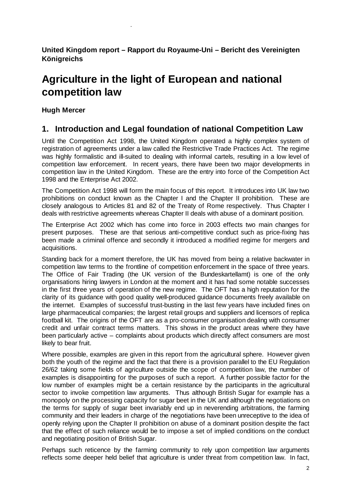**United Kingdom report – Rapport du Royaume-Uni – Bericht des Vereinigten Königreichs** 

# **Agriculture in the light of European and national competition law**

**Hugh Mercer** 

.

# **1. Introduction and Legal foundation of national Competition Law**

Until the Competition Act 1998, the United Kingdom operated a highly complex system of registration of agreements under a law called the Restrictive Trade Practices Act. The regime was highly formalistic and ill-suited to dealing with informal cartels, resulting in a low level of competition law enforcement. In recent years, there have been two major developments in competition law in the United Kingdom. These are the entry into force of the Competition Act 1998 and the Enterprise Act 2002.

The Competition Act 1998 will form the main focus of this report. It introduces into UK law two prohibitions on conduct known as the Chapter I and the Chapter II prohibition. These are closely analogous to Articles 81 and 82 of the Treaty of Rome respectively. Thus Chapter I deals with restrictive agreements whereas Chapter II deals with abuse of a dominant position.

The Enterprise Act 2002 which has come into force in 2003 effects two main changes for present purposes. These are that serious anti-competitive conduct such as price-fixing has been made a criminal offence and secondly it introduced a modified regime for mergers and acquisitions.

Standing back for a moment therefore, the UK has moved from being a relative backwater in competition law terms to the frontline of competition enforcement in the space of three years. The Office of Fair Trading (the UK version of the Bundeskartellamt) is one of the only organisations hiring lawyers in London at the moment and it has had some notable successes in the first three years of operation of the new regime. The OFT has a high reputation for the clarity of its guidance with good quality well-produced guidance documents freely available on the internet. Examples of successful trust-busting in the last few years have included fines on large pharmaceutical companies; the largest retail groups and suppliers and licensors of replica football kit. The origins of the OFT are as a pro-consumer organisation dealing with consumer credit and unfair contract terms matters. This shows in the product areas where they have been particularly active – complaints about products which directly affect consumers are most likely to bear fruit.

Where possible, examples are given in this report from the agricultural sphere. However given both the youth of the regime and the fact that there is a provision parallel to the EU Regulation 26/62 taking some fields of agriculture outside the scope of competition law, the number of examples is disappointing for the purposes of such a report. A further possible factor for the low number of examples might be a certain resistance by the participants in the agricultural sector to invoke competition law arguments. Thus although British Sugar for example has a monopoly on the processing capacity for sugar beet in the UK and although the negotiations on the terms for supply of sugar beet invariably end up in neverending arbitrations, the farming community and their leaders in charge of the negotiations have been unreceptive to the idea of openly relying upon the Chapter II prohibition on abuse of a dominant position despite the fact that the effect of such reliance would be to impose a set of implied conditions on the conduct and negotiating position of British Sugar.

Perhaps such reticence by the farming community to rely upon competition law arguments reflects some deeper held belief that agriculture is under threat from competition law. In fact,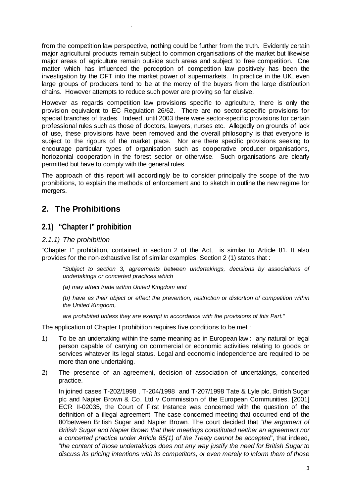from the competition law perspective, nothing could be further from the truth. Evidently certain major agricultural products remain subject to common organisations of the market but likewise major areas of agriculture remain outside such areas and subject to free competition. One matter which has influenced the perception of competition law positively has been the investigation by the OFT into the market power of supermarkets. In practice in the UK, even large groups of producers tend to be at the mercy of the buyers from the large distribution chains. However attempts to reduce such power are proving so far elusive.

However as regards competition law provisions specific to agriculture, there is only the provision equivalent to EC Regulation 26/62. There are no sector-specific provisions for special branches of trades. Indeed, until 2003 there were sector-specific provisions for certain professional rules such as those of doctors, lawyers, nurses etc. Allegedly on grounds of lack of use, these provisions have been removed and the overall philosophy is that everyone is subject to the rigours of the market place. Nor are there specific provisions seeking to encourage particular types of organisation such as cooperative producer organisations, horiozontal cooperation in the forest sector or otherwise. Such organisations are clearly permitted but have to comply with the general rules.

The approach of this report will accordingly be to consider principally the scope of the two prohibitions, to explain the methods of enforcement and to sketch in outline the new regime for mergers.

# **2. The Prohibitions**

# **2.1) "Chapter I" prohibition**

.

### *2.1.1) The prohibition*

"Chapter I" prohibition, contained in section 2 of the Act, is similar to Article 81. It also provides for the non-exhaustive list of similar examples. Section 2 (1) states that :

*"Subject to section 3, agreements between undertakings, decisions by associations of undertakings or concerted practices which* 

*(a) may affect trade within United Kingdom and* 

*(b) have as their object or effect the prevention, restriction or distortion of competition within the United Kingdom,* 

*are prohibited unless they are exempt in accordance with the provisions of this Part."* 

The application of Chapter I prohibition requires five conditions to be met :

- 1) To be an undertaking within the same meaning as in European law : any natural or legal person capable of carrying on commercial or economic activities relating to goods or services whatever its legal status. Legal and economic independence are required to be more than one undertaking.
- 2) The presence of an agreement, decision of association of undertakings, concerted practice.

 In joined cases T-202/1998 , T-204/1998 and T-207/1998 Tate & Lyle plc, British Sugar plc and Napier Brown & Co. Ltd v Commission of the European Communities. [2001] ECR II-02035, the Court of First Instance was concerned with the question of the definition of a illegal agreement. The case concerned meeting that occurred end of the 80'between British Sugar and Napier Brown. The court decided that "*the argument of British Sugar and Napier Brown that their meetings constituted neither an agreement nor a concerted practice under Article 85(1) of the Treaty cannot be accepted*", that indeed, "*the content of those undertakings does not any way justify the need for British Sugar to discuss its pricing intentions with its competitors, or even merely to inform them of those*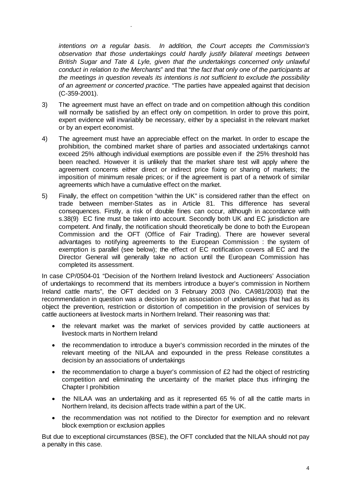*intentions on a regular basis. In addition, the Court accepts the Commission's observation that those undertakings could hardly justify bilateral meetings between British Sugar and Tate & Lyle, given that the undertakings concerned only unlawful conduct in relation to the Merchants*" and that "*the fact that only one of the participants at the meetings in question reveals its intentions is not sufficient to exclude the possibility of an agreement or concerted practice*. "The parties have appealed against that decision (C-359-2001).

.

- 3) The agreement must have an effect on trade and on competition although this condition will normally be satisfied by an effect only on competition. In order to prove this point, expert evidence will invariably be necessary, either by a specialist in the relevant market or by an expert economist.
- 4) The agreement must have an appreciable effect on the market. In order to escape the prohibition, the combined market share of parties and associated undertakings cannot exceed 25% although individual exemptions are possible even if the 25% threshold has been reached. However it is unlikely that the market share test will apply where the agreement concerns either direct or indirect price fixing or sharing of markets; the imposition of minimum resale prices; or if the agreement is part of a network of similar agreements which have a cumulative effect on the market.
- 5) Finally, the effect on competition "within the UK" is considered rather than the effect on trade between member-States as in Article 81. This difference has several consequences. Firstly, a risk of double fines can occur, although in accordance with s.38(9) EC fine must be taken into account. Secondly both UK and EC jurisdiction are competent. And finally, the notification should theoretically be done to both the European Commission and the OFT (Office of Fair Trading). There are however several advantages to notifying agreements to the European Commission : the system of exemption is parallel (see below); the effect of EC notification covers all EC and the Director General will generally take no action until the European Commission has completed its assessment.

In case CP/0504-01 "Decision of the Northern Ireland livestock and Auctioneers' Association of undertakings to recommend that its members introduce a buyer's commission in Northern Ireland cattle marts", the OFT decided on 3 February 2003 (No. CA981/2003) that the recommendation in question was a decision by an association of undertakings that had as its object the prevention, restriction or distortion of competition in the provision of services by cattle auctioneers at livestock marts in Northern Ireland. Their reasoning was that:

- the relevant market was the market of services provided by cattle auctioneers at livestock marts in Northern Ireland
- the recommendation to introduce a buyer's commission recorded in the minutes of the relevant meeting of the NILAA and expounded in the press Release constitutes a decision by an associations of undertakings
- the recommendation to charge a buyer's commission of  $E2$  had the object of restricting competition and eliminating the uncertainty of the market place thus infringing the Chapter I prohibition
- the NILAA was an undertaking and as it represented 65 % of all the cattle marts in Northern Ireland, its decision affects trade within a part of the UK.
- the recommendation was not notified to the Director for exemption and no relevant block exemption or exclusion applies

But due to exceptional circumstances (BSE), the OFT concluded that the NILAA should not pay a penalty in this case.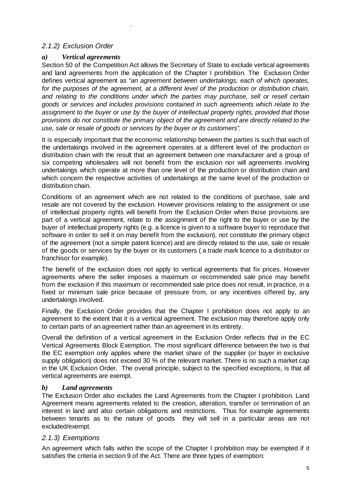# *2.1.2) Exclusion Order*

# *a) Vertical agreements*

.

Section 50 of the Competition Act allows the Secretary of State to exclude vertical agreements and land agreements from the application of the Chapter I prohibition. The Exclusion Order defines vertical agreement as "*an agreement between undertakings, each of which operates, for the purposes of the agreement, at a different level of the production or distribution chain, and relating to the conditions under which the parties may purchase, sell or resell certain goods or services and includes provisions contained in such agreements which relate to the*  assignment to the buyer or use by the buyer of intellectual property rights, provided that those *provisions do not constitute the primary object of the agreement and are directly related to the use, sale or resale of goods or services by the buyer or its customers".*

It is especially important that the economic relationship between the parties is such that each of the undertakings involved in the agreement operates at a different level of the production or distribution chain with the result that an agreement between one manufacturer and a group of six competing wholesalers will not benefit from the exclusion nor will agreements involving undertakings which operate at more than one level of the production or distribution chain and which concern the respective activities of undertakings at the same level of the production or distribution chain.

Conditions of an agreement which are not related to the conditions of purchase, sale and resale are not covered by the exclusion. However provisions relating to the assignment or use of intellectual property rights will benefit from the Exclusion Order when those provisions are part of a vertical agreement, relate to the assignment of the right to the buyer or use by the buyer of intellectual property rights (e.g. a licence is given to a software buyer to reproduce that software in order to sell it on may benefit from the exclusion), not constitute the primary object of the agreement (not a simple patent licence) and are directly related to the use, sale or resale of the goods or services by the buyer or its customers ( a trade mark licence to a distributor or franchisor for example).

The benefit of the exclusion does not apply to vertical agreements that fix prices. However agreements where the seller imposes a maximum or recommended sale price may benefit from the exclusion if this maximum or recommended sale price does not result, in practice, in a fixed or minimum sale price because of pressure from, or any incentives offered by, any undertakings involved.

Finally, the Exclusion Order provides that the Chapter I prohibition does not apply to an agreement to the extent that it is a vertical agreement. The exclusion may therefore apply only to certain parts of an agreement rather than an agreement in its entirety.

Overall the definition of a vertical agreement in the Exclusion Order reflects that in the EC Vertical Agreements Block Exemption. The most significant difference between the two is that the EC exemption only applies where the market share of the supplier (or buyer in exclusive supply obligation) does not exceed 30 % of the relevant market. There is no such a market cap in the UK Exclusion Order. The overall principle, subject to the specified exceptions, is that all vertical agreements are exempt.

### *b) Land agreements*

The Exclusion Order also excludes the Land Agreements from the Chapter I prohibition. Land Agreement means agreements related to the creation, alteration, transfer or termination of an interest in land and also certain obligations and restrictions. Thus for example agreements between tenants as to the nature of goods they will sell in a particular areas are not excluded/exempt.

# *2.1.3) Exemptions*

An agreement which falls within the scope of the Chapter I prohibition may be exempted if it satisfies the criteria in section 9 of the Act. There are three types of exemption: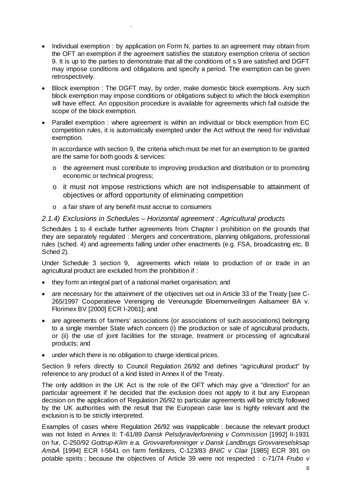- Individual exemption : by application on Form N, parties to an agreement may obtain from the OFT an exemption if the agreement satisfies the statutory exemption criteria of section 9. It is up to the parties to demonstrate that all the conditions of s.9 are satisfied and DGFT may impose conditions and obligations and specify a period. The exemption can be given retrospectively.
- Block exemption : The DGFT may, by order, make domestic block exemptions. Any such block exemption may impose conditions or obligations subject to which the block exemption will have effect. An opposition procedure is available for agreements which fall outside the scope of the block exemption.
- Parallel exemption : where agreement is within an individual or block exemption from EC competition rules, it is automatically exempted under the Act without the need for individual exemption.

In accordance with section 9, the criteria which must be met for an exemption to be granted are the same for both goods & services:

- o the agreement must contribute to improving production and distribution or to promoting economic or technical progress;
- o it must not impose restrictions which are not indispensable to attainment of objectives or afford opportunity of eliminating competition
- o a fair share of any benefit must accrue to consumers

.

#### *2.1.4) Exclusions in Schedules – Horizontal agreement : Agricultural products*

Schedules 1 to 4 exclude further agreements from Chapter I prohibition on the grounds that they are separately regulated : Mergers and concentrations, planning obligations, professional rules (sched. 4) and agreements falling under other enactments (e.g. FSA, broadcasting etc. B Sched 2).

Under Schedule 3 section 9, agreements which relate to production of or trade in an agricultural product are excluded from the prohibition if :

- they form an integral part of a national market organisation; and
- are necessary for the attainment of the objectives set out in Article 33 of the Treaty [see C-265/1997 Cooperatieve Vereniging de Vereunugde Bloemenveilingen Aalsameer BA v. Florimex BV [2000] ECR I-2061]; and
- are agreements of farmers' associations (or associations of such associations) belonging to a single member State which concern (i) the production or sale of agricultural products, or (ii) the use of joint facilities for the storage, treatment or processing of agricultural products; and
- under which there is no obligation to charge identical prices.

Section 9 refers directly to Council Regulation 26/92 and defines "agricultural product" by reference to any product of a kind listed in Annex II of the Treaty.

The only addition in the UK Act is the role of the OFT which may give a "direction" for an particular agreement if he decided that the exclusion does not apply to it but any European decision on the application of Regulation 26/92 to particular agreements will be strictly followed by the UK authorities with the result that the European case law is highly relevant and the exclusion is to be strictly interpreted.

Examples of cases where Regulation 26/92 was inapplicable : because the relevant product was not listed in Annex II: T-61/89 *Dansk Pelsdyravlerforening v Commission* [1992] II-1931 on fur, C-250/92 *Gottrup-Klim e.a. Grovvareforeninger v Dansk Landbrugs Grovvareselsksap AmbA* [1994] ECR I-5641 on farm fertilizers, C-123/83 *BNIC v Clair* [1985] ECR 391 on potable spirits ; because the objectives of Article 39 were not respected : c-71/74 *Frubo v*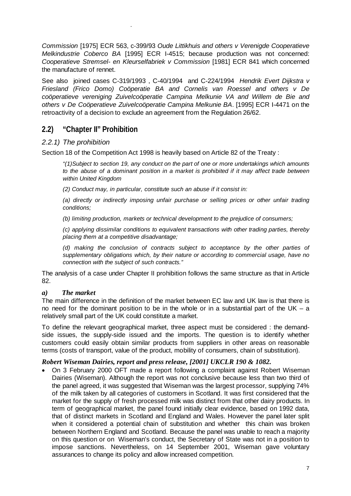*Commission* [1975] ECR 563, c-399/93 *Oude Littikhuis and others v Verenigde Cooperatieve Melkindustrie Coberco BA* [1995] ECR I-4515; because production was not concerned: *Cooperatieve Stremsel- en Kleurselfabriek v Commission* [1981] ECR 841 which concerned the manufacture of rennet.

See also joined cases C-319/1993 , C-40/1994 and C-224/1994 *Hendrik Evert Dijkstra v Friesland (Frico Domo) Coöperatie BA and Cornelis van Roessel and others v De coöperatieve vereniging Zuivelcoöperatie Campina Melkunie VA and Willem de Bie and others v De Coöperatieve Zuivelcoöperatie Campina Melkunie BA*. [1995] ECR I-4471 on the retroactivity of a decision to exclude an agreement from the Regulation 26/62.

# **2.2) "Chapter II" Prohibition**

.

#### *2.2.1) The prohibition*

Section 18 of the Competition Act 1998 is heavily based on Article 82 of the Treaty :

*"(1)Subject to section 19, any conduct on the part of one or more undertakings which amounts*  to the abuse of a dominant position in a market is prohibited if it may affect trade between *within United Kingdom* 

*(2) Conduct may, in particular, constitute such an abuse if it consist in:* 

*(a) directly or indirectly imposing unfair purchase or selling prices or other unfair trading conditions;* 

*(b) limiting production, markets or technical development to the prejudice of consumers;* 

*(c) applying dissimilar conditions to equivalent transactions with other trading parties, thereby placing them at a competitive disadvantage;* 

*(d) making the conclusion of contracts subject to acceptance by the other parties of supplementary obligations which, by their nature or according to commercial usage, have no connection with the subject of such contracts."*

The analysis of a case under Chapter II prohibition follows the same structure as that in Article 82.

#### *a) The market*

The main difference in the definition of the market between EC law and UK law is that there is no need for the dominant position to be in the whole or in a substantial part of the UK – a relatively small part of the UK could constitute a market.

To define the relevant geographical market, three aspect must be considered : the demandside issues, the supply-side issued and the imports. The question is to identify whether customers could easily obtain similar products from suppliers in other areas on reasonable terms (costs of transport, value of the product, mobility of consumers, chain of substitution).

#### *Robert Wiseman Dairies, report and press release, [2001] UKCLR 190 & 1082.*

• On 3 February 2000 OFT made a report following a complaint against Robert Wiseman Dairies (Wiseman). Although the report was not conclusive because less than two third of the panel agreed, it was suggested that Wiseman was the largest processor, supplying 74% of the milk taken by all categories of customers in Scotland. It was first considered that the market for the supply of fresh processed milk was distinct from that other dairy products. In term of geographical market, the panel found initially clear evidence, based on 1992 data, that of distinct markets in Scotland and England and Wales. However the panel later split when it considered a potential chain of substitution and whether this chain was broken between Northern England and Scotland. Because the panel was unable to reach a majority on this question or on Wiseman's conduct, the Secretary of State was not in a position to impose sanctions. Nevertheless, on 14 September 2001, Wiseman gave voluntary assurances to change its policy and allow increased competition.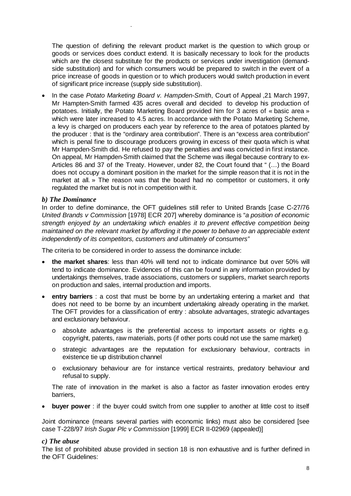The question of defining the relevant product market is the question to which group or goods or services does conduct extend. It is basically necessary to look for the products which are the closest substitute for the products or services under investigation (demandside substitution) and for which consumers would be prepared to switch in the event of a price increase of goods in question or to which producers would switch production in event of significant price increase (supply side substitution).

• In the case *Potato Marketing Board v. Hampden-Smith*, Court of Appeal ,21 March 1997, Mr Hampten-Smith farmed 435 acres overall and decided to develop his production of potatoes. Initially, the Potato Marketing Board provided him for 3 acres of « basic area » which were later increased to 4.5 acres. In accordance with the Potato Marketing Scheme, a levy is charged on producers each year by reference to the area of potatoes planted by the producer : that is the "ordinary area contribution". There is an "excess area contribution" which is penal fine to discourage producers growing in excess of their quota which is what Mr Hampden-Smith did. He refused to pay the penalties and was convicted in first instance. On appeal, Mr Hampden-Smith claimed that the Scheme was illegal because contrary to ex-Articles 86 and 37 of the Treaty. However, under 82, the Court found that " (…) the Board does not occupy a dominant position in the market for the simple reason that it is not in the market at all. » The reason was that the board had no competitor or customers, it only regulated the market but is not in competition with it.

#### *b) The Dominance*

.

In order to define dominance, the OFT guidelines still refer to United Brands [case C-27/76 *United Brands v Commission* [1978] ECR 207] whereby dominance is "*a position of economic strength enjoyed by an undertaking which enables it to prevent effective competition being maintained on the relevant market by affording it the power to behave to an appreciable extent independently of its competitors, customers and ultimately of consumers"* 

The criteria to be considered in order to assess the dominance include:

- **the market shares**: less than 40% will tend not to indicate dominance but over 50% will tend to indicate dominance. Evidences of this can be found in any information provided by undertakings themselves, trade associations, customers or suppliers, market search reports on production and sales, internal production and imports.
- **entry barriers** : a cost that must be borne by an undertaking entering a market and that does not need to be borne by an incumbent undertaking already operating in the market. The OFT provides for a classification of entry : absolute advantages, strategic advantages and exclusionary behaviour.
	- o absolute advantages is the preferential access to important assets or rights e.g. copyright, patents, raw materials, ports (if other ports could not use the same market)
	- o strategic advantages are the reputation for exclusionary behaviour, contracts in existence tie up distribution channel
	- o exclusionary behaviour are for instance vertical restraints, predatory behaviour and refusal to supply.

The rate of innovation in the market is also a factor as faster innovation erodes entry barriers,

• **buyer power** : if the buyer could switch from one supplier to another at little cost to itself

Joint dominance (means several parties with economic links) must also be considered [see case T-228/97 *Irish Sugar Plc v Commission* [1999] ECR II-02969 (appealed)]

#### *c) The abuse*

The list of prohibited abuse provided in section 18 is non exhaustive and is further defined in the OFT Guidelines: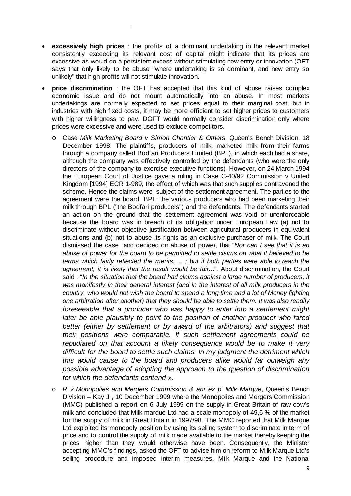• **excessively high prices** : the profits of a dominant undertaking in the relevant market consistently exceeding its relevant cost of capital might indicate that its prices are excessive as would do a persistent excess without stimulating new entry or innovation (OFT says that only likely to be abuse "where undertaking is so dominant, and new entry so unlikely" that high profits will not stimulate innovation.

.

- **price discrimination** : the OFT has accepted that this kind of abuse raises complex economic issue and do not mount automatically into an abuse. In most markets undertakings are normally expected to set prices equal to their marginal cost, but in industries with high fixed costs, it may be more efficient to set higher prices to customers with higher willingness to pay. DGFT would normally consider discrimination only where prices were excessive and were used to exclude competitors.
	- o Case *Milk Marketing Board v Simon Chantler & Others*, Queen's Bench Division, 18 December 1998. The plaintiffs, producers of milk, marketed milk from their farms through a company called Bodfari Producers Limited (BPL), in which each had a share, although the company was effectively controlled by the defendants (who were the only directors of the company to exercise executive functions). However, on 24 March 1994 the European Court of Justice gave a ruling in Case C-40/92 Commission v United Kingdom [1994] ECR 1-989, the effect of which was that such supplies contravened the scheme. Hence the claims were subject of the settlement agreement. The parties to the agreement were the board, BPL, the various producers who had been marketing their milk through BPL ("the Bodfari producers") and the defendants. The defendants started an action on the ground that the settlement agreement was void or unenforceable because the board was in breach of its obligation under European Law (a) not to discriminate without objective justification between agricultural producers in equivalent situations and (b) not to abuse its rights as an exclusive purchaser of milk. The Court dismissed the case and decided on abuse of power, that "*Nor can I see that it is an abuse of power for the board to be permitted to settle claims on what it believed to be terms which fairly reflected the merits. ... ; but if both parties were able to reach the*  agreement, it is likely that the result would be fair...". About discrimination, the Court said : "*In the situation that the board had claims against a large number of producers, it*  was manifestly in their general interest (and in the interest of all milk producers in the *country, who would not wish the board to spend a long time and a lot of Money fighting one arbitration after another) that they should be able to settle them. It was also readily foreseeable that a producer who was happy to enter into a settlement might*  later be able plausibly to point to the position of another producer who fared *better (either by settlement or by award of the arbitrators) and suggest that their positions were comparable. If such settlement agreements could be repudiated on that account a likely consequence would be to make it very difficult for the board to settle such claims. In my judgment the detriment which this would cause to the board and producers alike would far outweigh any possible advantage of adopting the approach to the question of discrimination for which the defendants contend* ».
	- o *R v Monopolies and Mergers Commission & anr ex p. Milk Marque*, Queen's Bench Division – Kay J , 10 December 1999 where the Monopolies and Mergers Commission (MMC) published a report on 6 July 1999 on the supply in Great Britain of raw cow's milk and concluded that Milk marque Ltd had a scale monopoly of 49,6 % of the market for the supply of milk in Great Britain in 1997/98. The MMC reported that Milk Marque Ltd exploited its monopoly position by using its selling system to discriminate in term of price and to control the supply of milk made available to the market thereby keeping the prices higher than they would otherwise have been. Consequently, the Minister accepting MMC's findings, asked the OFT to advise him on reform to Milk Marque Ltd's selling procedure and imposed interim measures. Milk Marque and the National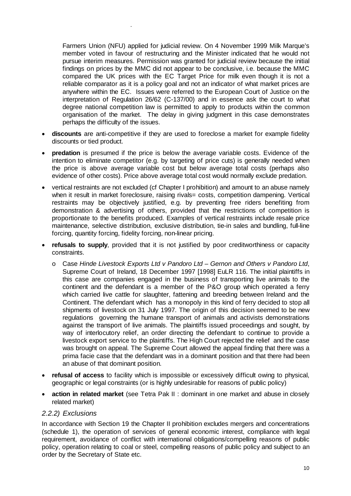Farmers Union (NFU) applied for judicial review. On 4 November 1999 Milk Marque's member voted in favour of restructuring and the Minister indicated that he would not pursue interim measures. Permission was granted for judicial review because the initial findings on prices by the MMC did not appear to be conclusive, i.e. because the MMC compared the UK prices with the EC Target Price for milk even though it is not a reliable comparator as it is a policy goal and not an indicator of what market prices are anywhere within the EC. Issues were referred to the European Court of Justice on the interpretation of Regulation 26/62 (C-137/00) and in essence ask the court to what degree national competition law is permitted to apply to products within the common organisation of the market. The delay in giving judgment in this case demonstrates perhaps the difficulty of the issues.

- **discounts** are anti-competitive if they are used to foreclose a market for example fidelity discounts or tied product.
- **predation** is presumed if the price is below the average variable costs. Evidence of the intention to eliminate competitor (e.g. by targeting of price cuts) is generally needed when the price is above average variable cost but below average total costs (perhaps also evidence of other costs). Price above average total cost would normally exclude predation.
- vertical restraints are not excluded (cf Chapter I prohibition) and amount to an abuse namely when it result in market foreclosure, raising rivals= costs, competition dampening. Vertical restraints may be objectively justified, e.g. by preventing free riders benefiting from demonstration & advertising of others, provided that the restrictions of competition is proportionate to the benefits produced. Examples of vertical restraints include resale price maintenance, selective distribution, exclusive distribution, tie-in sales and bundling, full-line forcing, quantity forcing, fidelity forcing, non-linear pricing.
- **refusals to supply**, provided that it is not justified by poor creditworthiness or capacity constraints.
	- o Case *Hinde Livestock Exports Ltd v Pandoro Ltd Gernon and Others v Pandoro Ltd*, Supreme Court of Ireland, 18 December 1997 [1998] EuLR 116. The initial plaintiffs in this case are companies engaged in the business of transporting live animals to the continent and the defendant is a member of the P&O group which operated a ferry which carried live cattle for slaughter, fattening and breeding between Ireland and the Continent. The defendant which has a monopoly in this kind of ferry decided to stop all shipments of livestock on 31 July 1997. The origin of this decision seemed to be new regulations governing the humane transport of animals and activists demonstrations against the transport of live animals. The plaintiffs issued proceedings and sought, by way of interlocutory relief, an order directing the defendant to continue to provide a livestock export service to the plaintiffs. The High Court rejected the relief and the case was brought on appeal. The Supreme Court allowed the appeal finding that there was a prima facie case that the defendant was in a dominant position and that there had been an abuse of that dominant position.
- **refusal of access** to facility which is impossible or excessively difficult owing to physical, geographic or legal constraints (or is highly undesirable for reasons of public policy)
- **action in related market** (see Tetra Pak II : dominant in one market and abuse in closely related market)

#### *2.2.2) Exclusions*

.

In accordance with Section 19 the Chapter II prohibition excludes mergers and concentrations (schedule 1), the operation of services of general economic interest, compliance with legal requirement, avoidance of conflict with international obligations/compelling reasons of public policy, operation relating to coal or steel, compelling reasons of public policy and subject to an order by the Secretary of State etc.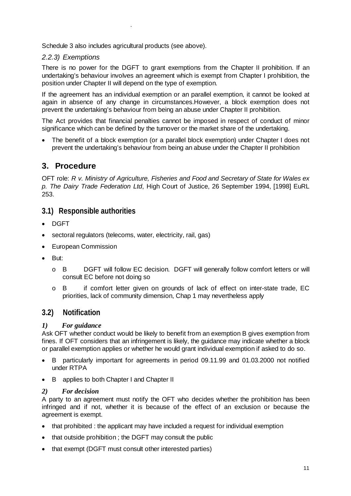Schedule 3 also includes agricultural products (see above).

# *2.2.3) Exemptions*

.

There is no power for the DGFT to grant exemptions from the Chapter II prohibition. If an undertaking's behaviour involves an agreement which is exempt from Chapter I prohibition, the position under Chapter II will depend on the type of exemption.

If the agreement has an individual exemption or an parallel exemption, it cannot be looked at again in absence of any change in circumstances.However, a block exemption does not prevent the undertaking's behaviour from being an abuse under Chapter II prohibition.

The Act provides that financial penalties cannot be imposed in respect of conduct of minor significance which can be defined by the turnover or the market share of the undertaking.

• The benefit of a block exemption (or a parallel block exemption) under Chapter I does not prevent the undertaking's behaviour from being an abuse under the Chapter II prohibition

# **3. Procedure**

OFT role: *R v. Ministry of Agriculture, Fisheries and Food and Secretary of State for Wales ex p. The Dairy Trade Federation Ltd*, High Court of Justice, 26 September 1994, [1998] EuRL 253.

# **3.1) Responsible authorities**

- DGFT
- sectoral regulators (telecoms, water, electricity, rail, gas)
- European Commission
- But:
	- o B DGFT will follow EC decision. DGFT will generally follow comfort letters or will consult EC before not doing so
	- o B if comfort letter given on grounds of lack of effect on inter-state trade, EC priorities, lack of community dimension, Chap 1 may nevertheless apply

# **3.2) Notification**

### *1) For guidance*

Ask OFT whether conduct would be likely to benefit from an exemption B gives exemption from fines. If OFT considers that an infringement is likely, the guidance may indicate whether a block or parallel exemption applies or whether he would grant individual exemption if asked to do so.

- B particularly important for agreements in period 09.11.99 and 01.03.2000 not notified under RTPA
- B applies to both Chapter I and Chapter II

#### *2) For decision*

A party to an agreement must notify the OFT who decides whether the prohibition has been infringed and if not, whether it is because of the effect of an exclusion or because the agreement is exempt.

- that prohibited : the applicant may have included a request for individual exemption
- that outside prohibition ; the DGFT may consult the public
- that exempt (DGFT must consult other interested parties)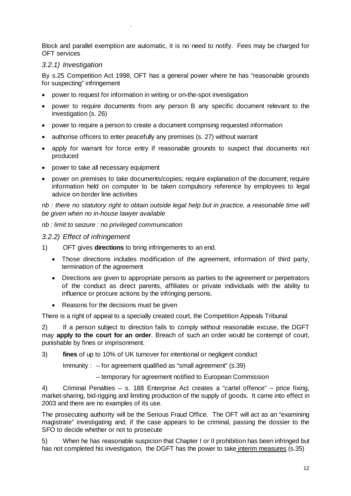Block and parallel exemption are automatic, it is no need to notify. Fees may be charged for OFT services

# *3.2.1) Investigation*

.

By s.25 Competition Act 1998, OFT has a general power where he has "reasonable grounds for suspecting" infringement

- power to request for information in writing or on-the-spot investigation
- power to require documents from any person B any specific document relevant to the investigation (s. 26)
- power to require a person to create a document comprising requested information
- authorise officers to enter peacefully any premises (s. 27) without warrant
- apply for warrant for force entry if reasonable grounds to suspect that documents not produced
- power to take all necessary equipment
- power on premises to take documents/copies; require explanation of the document; require information held on computer to be taken compulsory reference by employees to legal advice on border line activities

*nb : there no statutory right to obtain outside legal help but in practice, a reasonable time will be given when no in-house lawyer available* 

#### *nb : limit to seizure : no privileged communication*

#### *3.2.2) Effect of infringement*

- 1) OFT gives **directions** to bring infringements to an end.
	- Those directions includes modification of the agreement, information of third party, termination of the agreement
	- Directions are given to appropriate persons as parties to the agreement or perpetrators of the conduct as direct parents, affiliates or private individuals with the ability to influence or procure actions by the infringing persons.
	- Reasons for the decisions must be given

There is a right of appeal to a specially created court, the Competition Appeals Tribunal

2) If a person subject to direction fails to comply without reasonable excuse, the DGFT may **apply to the court for an order**. Breach of such an order would be contempt of court, punishable by fines or imprisonment.

3) **fines** of up to 10% of UK turnover for intentional or negligent conduct

Immunity : – for agreement qualified as "small agreement" (s.39)

– temporary for agreement notified to European Commission

4) Criminal Penalties – s. 188 Enterprise Act creates a "cartel offence" – price fixing, market-sharing, bid-rigging and limiting production of the supply of goods. It came into effect in 2003 and there are no examples of its use.

The prosecuting authority will be the Serious Fraud Office. The OFT will act as an "examining magistrate" investigating and, if the case appears to be criminal, passing the dossier to the SFO to decide whether or not to prosecute

5) When he has reasonable suspicion that Chapter I or II prohibition has been infringed but has not completed his investigation, the DGFT has the power to take interim measures (s.35)